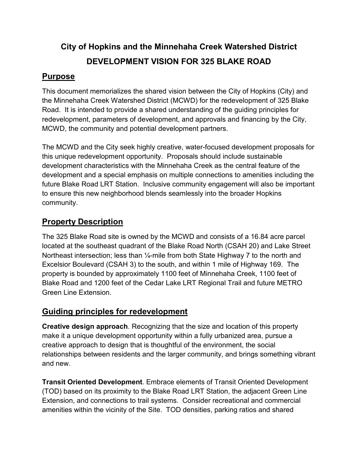# City of Hopkins and the Minnehaha Creek Watershed District DEVELOPMENT VISION FOR 325 BLAKE ROAD

# **Purpose**

City of Hopkins and the Minnehaha Creek Watershed District<br>DEVELOPMENT VISION FOR 325 BLAKE ROAD<br>Purpose<br>This document memorializes the shared vision between the City of Hopkins (City) and<br>the Minnehaha Creek Watershed Dis the Minnehaha Creek Watershed District (MCWD) for the redevelopment of 325 Blake City of Hopkins and the Minnehaha Creek Watershed District<br>DEVELOPMENT VISION FOR 325 BLAKE ROAD<br>This document memorializes the shared vision between the City of Hopkins (City) and<br>the Minnehaha Creek Watershed District (M **City of Hopkins and the Minnehaha Creek Watershed District**<br> **DEVELOPMENT VISION FOR 325 BLAKE ROAD**<br>
This document memorializes the shared vision between the City of Hopkins (City) and<br>
the Minnehaha Creek Watershed Dist MCWD, the community and potential development partners. **City of Hopkins and the Minnehaha Creek Watershed District**<br> **DEVELOPMENT VISION FOR 325 BLAKE ROAD**<br> **Purpose**<br>
This document memorializes the shared vision between the City of Hopkins (City) and<br>
the Minnehaha Creek Wat

**City of Hopkins and the Minnehaha Creek Watershed District**<br> **DEVELOPMENT VISION FOR 325 BLAKE ROAD**<br> **Purpose**<br>
This document memorializes the shared vision between the City of Hopkins (City) and<br>
the Minnehaha Creek Wat **City of Hopkins and the Minnehaha Creek Watershed District**<br> **DEVELOPMENT VISION FOR 325 BLAKE ROAD**<br> **Purpose**<br>
This document memorializes the shared vision between the City of Hopkins (City) and<br>
the Minnehaha Creek Wat **City of Hopkins and the Minnehaha Creek Watershed District**<br> **DEVELOPMENT VISION FOR 325 BLAKE ROAD**<br>
This document memorializes the shared vision between the City of Hopkins (City) and<br>
the Minnehaha Creek Watershed Dist future Blake Road LRT Station. Inclusive community engagement will also be important **City of Hopkins and the Minnehaha Creek Watershed District**<br> **DEVELOPMENT VISION FOR 325 BLAKE ROAD**<br> **Purpose**<br>
This document memorializes the shared vision between the City of Hopkins (City) and<br>
the Minnehaha Creek Wat community. This document memorializes the shared vision between the City of Hopkins (City) and<br>the Minnehaha Creek Watershed District (MCWD) for the redevelopment of 325 Blake<br>Road. It is intended to provide a shared understanding of

# Property Description

located at the southeast quadrant of the Blake Road North (CSAH 20) and Lake Street Northeast intersection; less than 1/<sub>4</sub>-mile from both State Highway 7 to the north and Excelsior Boulevard (CSAH 3) to the south, and within 1 mile of Highway 169. The property is bounded by approximately 1100 feet of Minnehaha Creek, 1100 feet of Blake Road and 1200 feet of the Cedar Lake LRT Regional Trail and future METRO Green Line Extension.

# Guiding principles for redevelopment

Creative design approach. Recognizing that the size and location of this property make it a unique development opportunity within a fully urbanized area, pursue a creative approach to design that is thoughtful of the environment, the social relationships between residents and the larger community, and brings something vibrant and new. Fixeriation motion and the solution of the Site. To the south, and within 1 mile of Highway 169. The<br>property is bounded by approximately 1100 feet of Minnehaha Creek, 1100 feet of<br>Blake Road and 1200 feet of the Cedar Lak

Transit Oriented Development. Embrace elements of Transit Oriented Development (TOD) based on its proximity to the Blake Road LRT Station, the adjacent Green Line Extension, and connections to trail systems. Consider recreational and commercial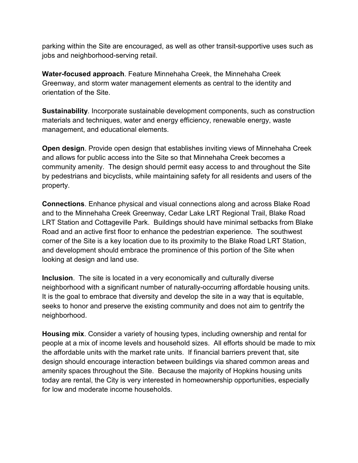parking within the Site are encouraged, as well as other transit-supportive uses such as jobs and neighborhood-serving retail.

Water-focused approach. Feature Minnehaha Creek, the Minnehaha Creek Greenway, and storm water management elements as central to the identity and orientation of the Site.

parking within the Site are encouraged, as well as other transit-supportive uses such as<br>jobs and neighborhood-serving retail.<br>Water-focused approach. Feature Minnehaha Creek, the Minnehaha Creek<br>Greenway, and storm water materials and techniques, water and energy efficiency, renewable energy, waste parking within the Site are encouraged, as well as other transit-supportive uses such as<br>jobs and neighborhood-serving retail.<br>Water-focused approach. Feature Minnehaha Creek, the Minnehaha Creek<br>Greenway, and storm water

Open design. Provide open design that establishes inviting views of Minnehaha Creek and allows for public access into the Site so that Minnehaha Creek becomes a community amenity. The design should permit easy access to and throughout the Site by pedestrians and bicyclists, while maintaining safety for all residents and users of the property.

Connections. Enhance physical and visual connections along and across Blake Road and to the Minnehaha Creek Greenway, Cedar Lake LRT Regional Trail, Blake Road Water-focused approach. Feature Minnehaha Creek, the Minnehaha Creek<br>Greenway, and storm water management elements as central to the identity and<br>orientation of the Site.<br>Sustainability. Incorporate sustainable development Road and an active first floor to enhance the pedestrian experience. The southwest corner of the Site is a key location due to its proximity to the Blake Road LRT Station, and development should embrace the prominence of this portion of the Site when looking at design and land use. and allows for public access into the Site so that Minnehaha Creek becomes a<br>community amenity. The design should permit easy access to and throughout the Site<br>by pedestrians and bicyclists, while maintaining safety for al

Inclusion. The site is located in a very economically and culturally diverse neighborhood with a significant number of naturally-occurring affordable housing units. It is the goal to embrace that diversity and develop the site in a way that is equitable, neighborhood.

Housing mix. Consider a variety of housing types, including ownership and rental for people at a mix of income levels and household sizes. All efforts should be made to mix the affordable units with the market rate units. If financial barriers prevent that, site design should encourage interaction between buildings via shared common areas and LRT Station and Cottageville Park. Buildings should have minimal setbacks from Blake<br>Road and an active first floor to enhance the pedestrian experience. The southwest<br>corner of the Site is a key location due to its proxim today are rental, the City is very interested in homeownership opportunities, especially for low and moderate income households.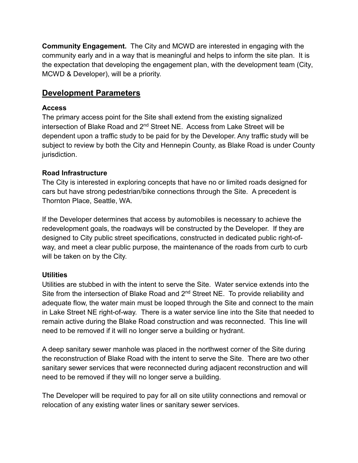**Community Engagement.** The City and MCWD are interested in engaging with the community early and in a way that is meaningful and helps to inform the site plan. It is the expectation that developing the engagement plan, wi community early and in a way that is meaningful and helps to inform the site plan. It is the expectation that developing the engagement plan, with the development team (City, **Community Engagement.** The City and MCWD are interested in engaging with the community early and in a way that is meaningful and helps to inform the site plan. It the expectation that developing the engagement plan, with

# Development Parameters

#### Access

The primary access point for the Site shall extend from the existing signalized **Community Engagement**. The City and MCWD are interested in engaging with the community early and in a way that is meaningful and helps to inform the site plan. It is the expectation that developing the engagement plan, w dependent upon a traffic study to be paid for by the Developer. Any traffic study will be subject to review by both the City and Hennepin County, as Blake Road is under County jurisdiction. **Community Engagement.** The City and MCWD are interested in engaging with the community early and in a way that is meaningful and helps to inform the site plan. It is<br>the expectation that developing the engagement plan, wi

#### Road Infrastructure

The City is interested in exploring concepts that have no or limited roads designed for Thornton Place, Seattle, WA.

If the Developer determines that access by automobiles is necessary to achieve the redevelopment goals, the roadways will be constructed by the Developer. If they are designed to City public street specifications, constructed in dedicated public right-ofway, and meet a clear public purpose, the maintenance of the roads from curb to curb will be taken on by the City. dependent upon a traffic study to be paid for by the Developer. Any traffic study will be<br>subject to review by both the City and Hennepin County, as Blake Road is under County<br>urisdiction.<br>**Road Infrastructure**<br>**Road Infra** 

#### **Utilities**

subject to review by both the City and Hennepin County, as Blake Road is under County<br> **Road Infrastructure**<br>
The City is interested in exploring concepts that have no or limited roads designed for<br>
Cars but have strong pe adequate flow, the water main must be looped through the Site and connect to the main in Lake Street NE right-of-way. There is a water service line into the Site that needed to remain active during the Blake Road construction and was reconnected. This line will need to be removed if it will no longer serve a building or hydrant. If the Developer determines that access by automobiles is necessary to achieve the redevelopment goals, the roadways will be constructed by the Developer. If they are designed to City public street specifications, construc way, and meet a clear public purpose, the maintenance of the roads from curb to curb<br>will be taken on by the City.<br>Utilities<br>Utilities are stubbed in with the intent to serve the Site. Water service extends into the<br>Site f

A deep sanitary sewer manhole was placed in the northwest corner of the Site during sanitary sewer services that were reconnected during adjacent reconstruction and will need to be removed if they will no longer serve a building.

relocation of any existing water lines or sanitary sewer services.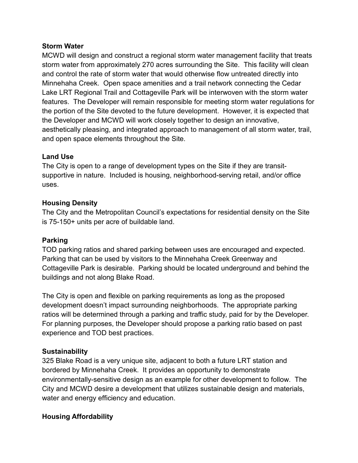**Storm Water**<br>MCWD will design and construct a regional storm water management<br>storm water from approximately 270 acres surrounding the Site. This<br>and control the rate of storm water that would otherwise flow untreate<br>Minn MCWD will design and construct a regional storm water management facility that treats **Storm Water**<br>MCWD will design and construct a regional storm water management facility that treats<br>storm water from approximately 270 acres surrounding the Site. This facility will clean<br>and control the rate of storm wate and control the rate of storm water that would otherwise flow untreated directly into Minnehaha Creek. Open space amenities and a trail network connecting the Cedar Lake LRT Regional Trail and Cottageville Park will be interwoven with the storm water features. The Developer will remain responsible for meeting storm water regulations for the portion of the Site devoted to the future development. However, it is expected that the Developer and MCWD will work closely together to design an innovative, aesthetically pleasing, and integrated approach to management of all storm water, trail, and open space elements throughout the Site. **Storm Water**<br> **Storm Water**<br>
MCWD will design and construct a regional storm water managemee<br>
storm water from approximately 270 acres surrounding the Site. Th<br>
and control the rate of storm water that would otherwise flo features. The Developer will remain responsible for meeting storm water regulations for<br>the potion of the Site devoted to the future development. However, it is expected that<br>the potion of the Site devoted to the future de the portion of the Site devoted to the future development. However, it is expected that<br>the Developer and MCWD will work closely together to design an innovative,<br>aesthetically pleasing, and integrated approach to manageme

The City is open to a range of development types on the Site if they are transitsupportive in nature. Included is housing, neighborhood-serving retail, and/or office uses.

#### Housing Density

The City and the Metropolitan Council's expectations for residential density on the Site is 75-150+ units per acre of buildable land.

#### Parking

Cottageville Park is desirable. Parking should be located underground and behind the buildings and not along Blake Road.

Land Use<br>The City is open to a range of development types on the Site if they are transit-<br>supportive in nature. Included is housing, neighborhood-serving retail, and/or office<br>uses.<br>Housing Density<br>The City and the Metrop Land Use<br>The City is open to a range of development types on the Site if they are transit-<br>supportive in nature. Included is housing, neighborhood-serving retail, and/or office<br>uses.<br>Housing Density<br>The City and the Metrop The City is open to a range of development types on the Site if they are transit-<br>supportive in nature. Included is housing, neighborhood-serving retail, and/or office<br>uses.<br>**Housing Density**<br>**Housing Density**<br>**Example 10** supportive in nature. Included is housing, neighborhood-serving retail, and/or office<br>uses.<br> **Housing Density**<br>
The City and the Metropolitan Council's expectations for residential density on the Site<br>
is 75-150+ units per experience and TOD best practices. **Parking** ratios and shared parking between uses are encouraged and expected.<br>TOD parking that can be used by visitors to the Minnehaha Creek Greenway and<br>Cottageville Park is desirable. Parking should be located undergrou

#### **Sustainability**

325 Blake Road is a very unique site, adjacent to both a future LRT station and bordered by Minnehaha Creek. It provides an opportunity to demonstrate environmentally-sensitive design as an example for other development to follow. The water and energy efficiency and education.

#### Housing Affordability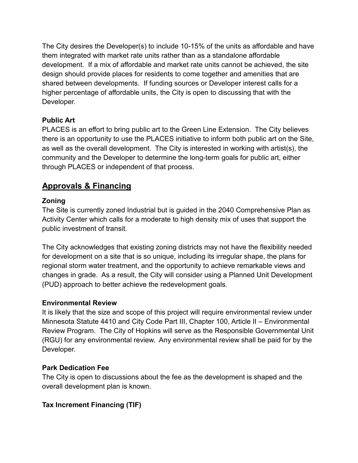The City desires the Developer(s) to include 10-15% of the units as affordable and have them integrated with market rate units rather than as a standalone affordable development. If a mix of affordable and market rate units cannot be achieved, the site design should provide places for residents to come together and amenities that are shared between developments. If funding sources or Developer interest calls for a higher percentage of affordable units, the City is open to discussing that with the Developer. The City desires the Developer(s) to include 10-15% of the units as affordable and have<br>them integrated with market rate units rather than as a standalone affordable<br>development. If a mix of affordable and market rate unit

# Public Art

PLACES is an effort to bring public art to the Green Line Extension. The City believes there is an opportunity to use the PLACES initiative to inform both public art on the Site, as well as the overall development. The City is interested in working with artist(s), the through PLACES or independent of that process. **Public Art**<br>PLACES is an effort to bring public art to the Green Line Extension. The City believes<br>there is an opportunity to use the PLACES initiative to inform both public art on the Site,<br>as well as the overall develop

# Approvals & Financing

### Zoning

The Site is currently zoned Industrial but is guided in the 2040 Comprehensive Plan as Activity Center which calls for a moderate to high density mix of uses that support the public investment of transit.

The City acknowledges that existing zoning districts may not have the flexibility needed for development on a site that is so unique, including its irregular shape, the plans for changes in grade. As a result, the City will consider using a Planned Unit Development (PUD) approach to better achieve the redevelopment goals. **Example 11**<br>
It is likely that is currently zoned in that process.<br> **Approvals & Financing**<br> **Zoning**<br> **Zoning**<br> **Zoning**<br> **Zoning**<br> **Zoning**<br> **Zoning**<br> **Zoning**<br> **Zoning**<br> **Zoning**<br> **Zoning**<br> **Zoning**<br> **Zoning**<br> **Conform** 

### Environmental Review

**Approvals & Financing**<br> **Approvals & Financing**<br>
The Site is currently zoned industrial but is guided in the 2040 Comprehensive Plan as<br>
Activity Center which calls for a moderate to high density mix of uses that support **Approvals & Financing**<br> **Zoning**<br> **Zoning**<br>
The Site is currently zoned Industrial but is guided in the 2040 Comprehensive Plan as<br>
Activity Center which calls for a moderate to high density mix of uses that support the<br> (RGU) for any environmental review. Any environmental review shall be paid for by the Developer.

### Park Dedication Fee

The City is open to discussions about the fee as the development is shaped and the overall development plan is known.

# Tax Increment Financing (TIF)